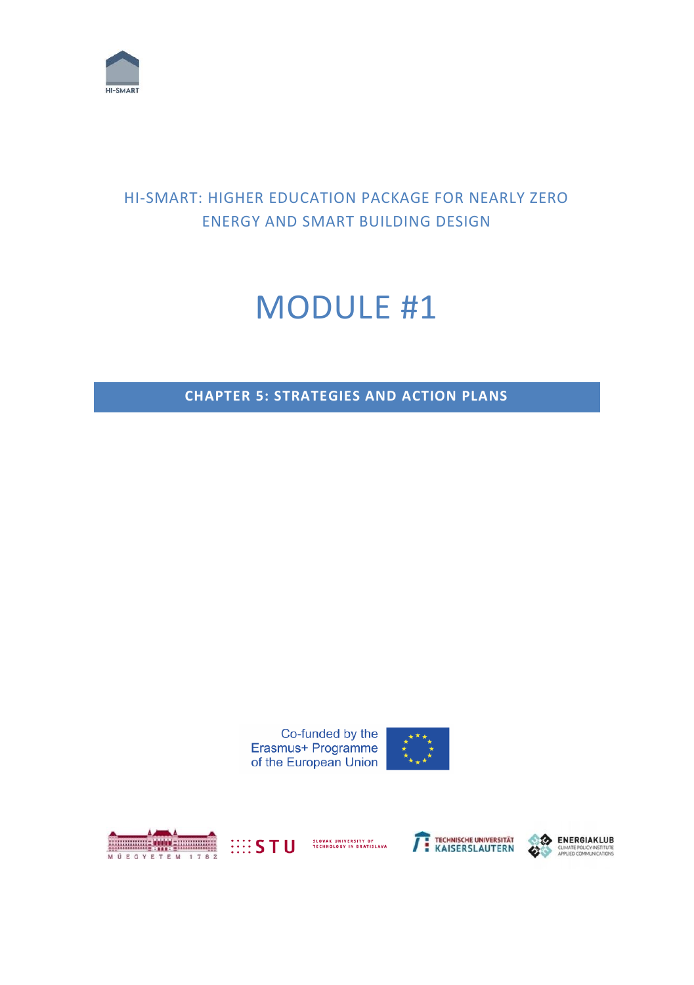

# HI-SMART: HIGHER EDUCATION PACKAGE FOR NEARLY ZERO ENERGY AND SMART BUILDING DESIGN

# MODULE #1

**CHAPTER 5: STRATEGIES AND ACTION PLANS**









SLOVAK UNIVERSITY OF<br>TECHNOLOGY IN BRATISLAVA



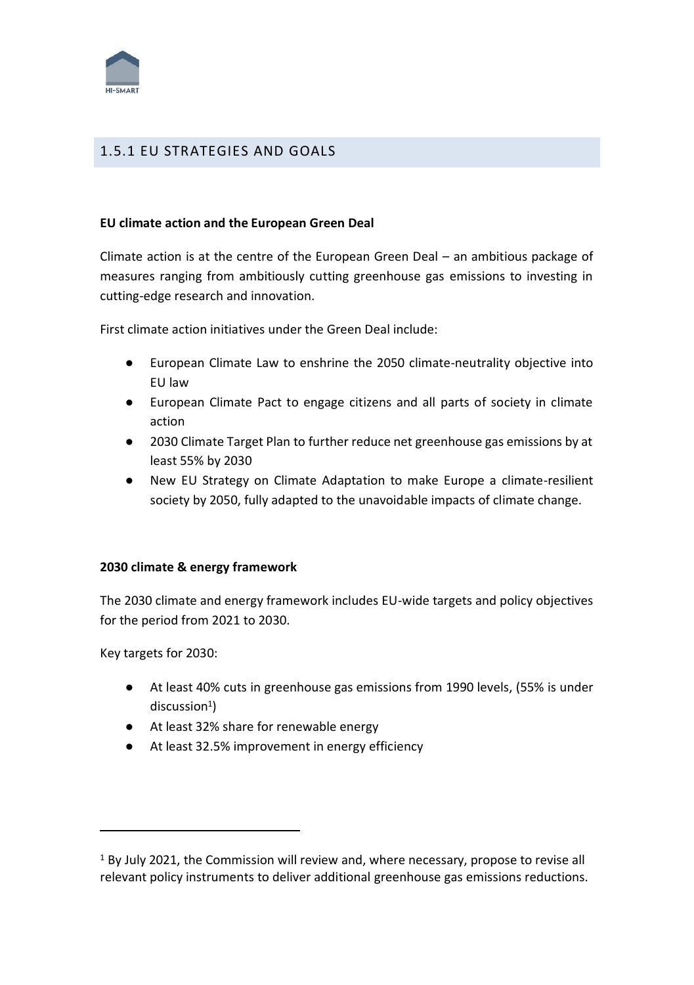

# 1.5.1 EU STRATEGIES AND GOALS

#### **EU climate action and the European Green Deal**

Climate action is at the centre of the European Green Deal – an ambitious package of measures ranging from ambitiously cutting greenhouse gas emissions to investing in cutting-edge research and innovation.

First climate action initiatives under the Green Deal include:

- European Climate Law to enshrine the 2050 climate-neutrality objective into EU law
- European Climate Pact to engage citizens and all parts of society in climate action
- 2030 Climate Target Plan to further reduce net greenhouse gas emissions by at least 55% by 2030
- New EU Strategy on Climate Adaptation to make Europe a climate-resilient society by 2050, fully adapted to the unavoidable impacts of climate change.

#### **2030 climate & energy framework**

The 2030 climate and energy framework includes EU-wide targets and policy objectives for the period from 2021 to 2030.

Key targets for 2030:

- At least 40% cuts in greenhouse gas emissions from 1990 levels, (55% is under discussion $^1)$
- At least 32% share for renewable energy
- At least 32.5% improvement in energy efficiency

<sup>1</sup> By July 2021, the Commission will review and, where necessary, propose to revise all relevant policy instruments to deliver additional greenhouse gas emissions reductions.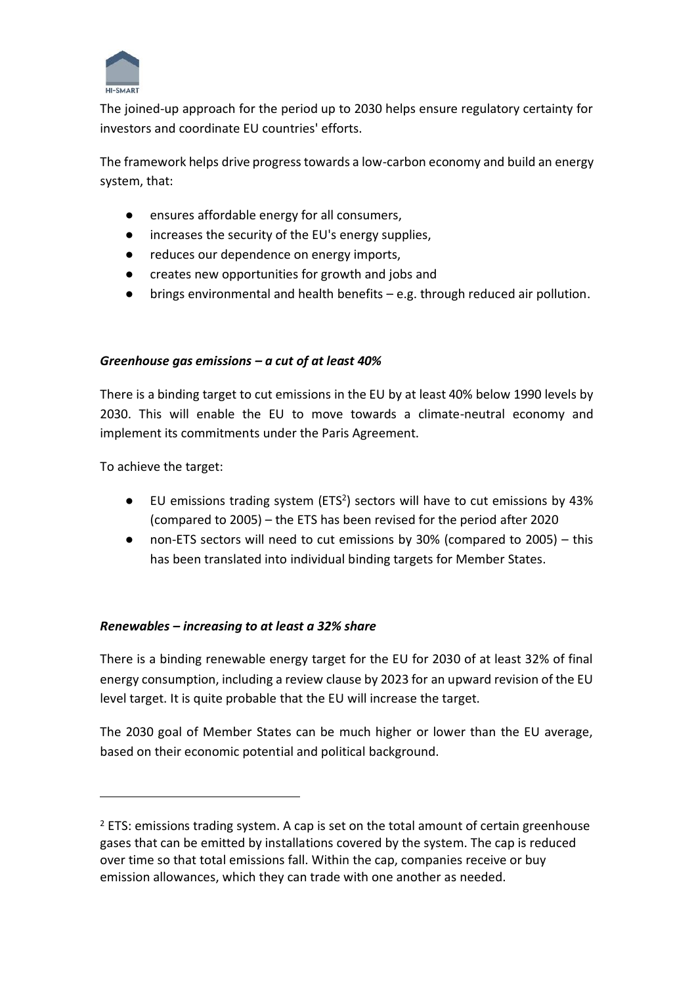

The joined-up approach for the period up to 2030 helps ensure regulatory certainty for investors and coordinate EU countries' efforts.

The framework helps drive progress towards a low-carbon economy and build an energy system, that:

- ensures affordable energy for all consumers,
- increases the security of the EU's energy supplies,
- reduces our dependence on energy imports,
- creates new opportunities for growth and jobs and
- brings environmental and health benefits e.g. through reduced air pollution.

#### *Greenhouse gas emissions – a cut of at least 40%*

There is a binding target to cut emissions in the EU by at least 40% below 1990 levels by 2030. This will enable the EU to move towards a climate-neutral economy and implement its commitments under the Paris Agreement.

To achieve the target:

- EU emissions trading system (ETS<sup>2</sup>) sectors will have to cut emissions by 43% (compared to 2005) – the ETS has been revised for the period after 2020
- non-ETS sectors will need to cut emissions by  $30%$  (compared to 2005) this has been translated into individual binding targets for Member States.

#### *Renewables – increasing to at least a 32% share*

There is a binding renewable energy target for the EU for 2030 of at least 32% of final energy consumption, including a review clause by 2023 for an upward revision of the EU level target. It is quite probable that the EU will increase the target.

The 2030 goal of Member States can be much higher or lower than the EU average, based on their economic potential and political background.

 $2$  ETS: emissions trading system. A cap is set on the total amount of certain greenhouse gases that can be emitted by installations covered by the system. The cap is reduced over time so that total emissions fall. Within the cap, companies receive or buy emission allowances, which they can trade with one another as needed.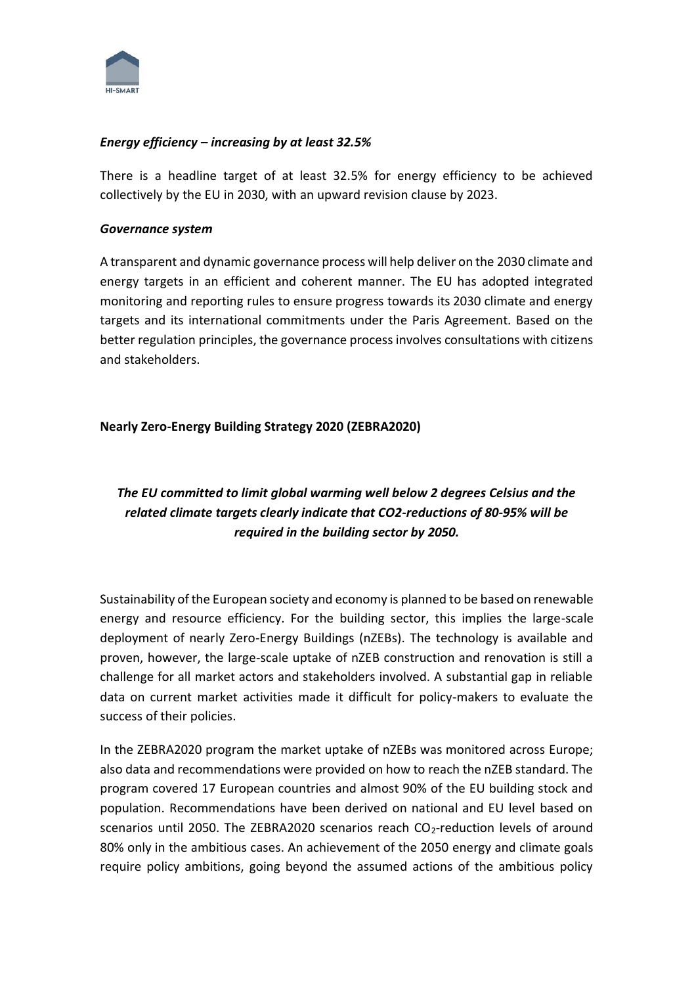

#### *Energy efficiency – increasing by at least 32.5%*

There is a headline target of at least 32.5% for energy efficiency to be achieved collectively by the EU in 2030, with an upward revision clause by 2023.

#### *Governance system*

A transparent and dynamic governance process will help deliver on the 2030 climate and energy targets in an efficient and coherent manner. The EU has adopted integrated monitoring and reporting rules to ensure progress towards its 2030 climate and energy targets and its international commitments under the Paris Agreement. Based on the better regulation principles, the governance process involves consultations with citizens and stakeholders.

#### **Nearly Zero-Energy Building Strategy 2020 (ZEBRA2020)**

# *The EU committed to limit global warming well below 2 degrees Celsius and the related climate targets clearly indicate that CO2-reductions of 80-95% will be required in the building sector by 2050.*

Sustainability of the European society and economy is planned to be based on renewable energy and resource efficiency. For the building sector, this implies the large-scale deployment of nearly Zero-Energy Buildings (nZEBs). The technology is available and proven, however, the large-scale uptake of nZEB construction and renovation is still a challenge for all market actors and stakeholders involved. A substantial gap in reliable data on current market activities made it difficult for policy-makers to evaluate the success of their policies.

In the ZEBRA2020 program the market uptake of nZEBs was monitored across Europe; also data and recommendations were provided on how to reach the nZEB standard. The program covered 17 European countries and almost 90% of the EU building stock and population. Recommendations have been derived on national and EU level based on scenarios until 2050. The ZEBRA2020 scenarios reach CO<sub>2</sub>-reduction levels of around 80% only in the ambitious cases. An achievement of the 2050 energy and climate goals require policy ambitions, going beyond the assumed actions of the ambitious policy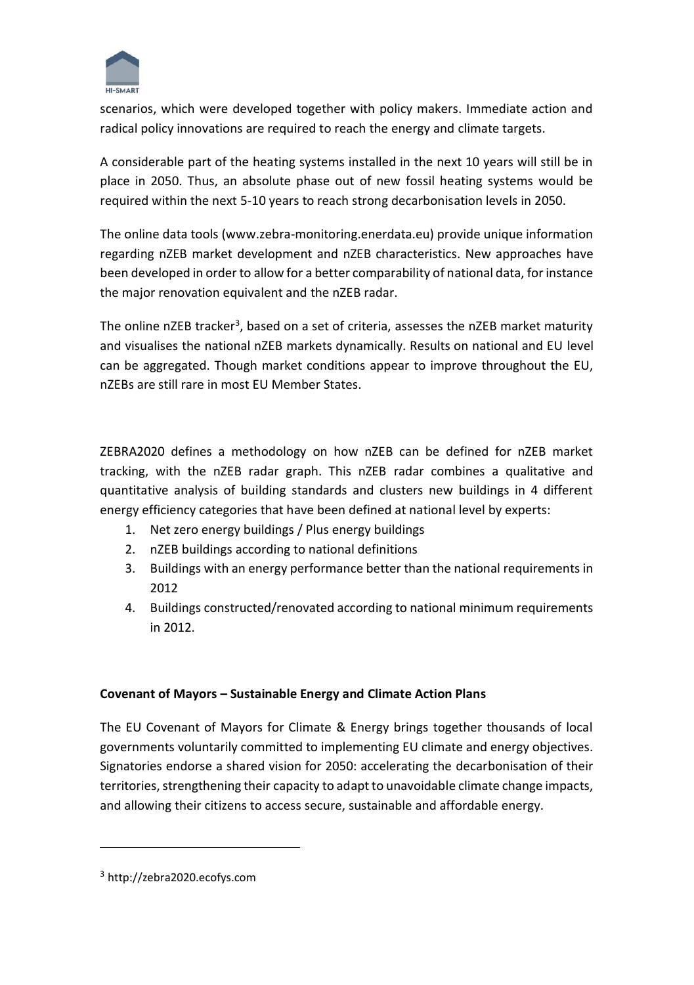

scenarios, which were developed together with policy makers. Immediate action and radical policy innovations are required to reach the energy and climate targets.

A considerable part of the heating systems installed in the next 10 years will still be in place in 2050. Thus, an absolute phase out of new fossil heating systems would be required within the next 5-10 years to reach strong decarbonisation levels in 2050.

The online data tools (www.zebra-monitoring.enerdata.eu) provide unique information regarding nZEB market development and nZEB characteristics. New approaches have been developed in order to allow for a better comparability of national data, for instance the major renovation equivalent and the nZEB radar.

The online nZEB tracker<sup>3</sup>, based on a set of criteria, assesses the nZEB market maturity and visualises the national nZEB markets dynamically. Results on national and EU level can be aggregated. Though market conditions appear to improve throughout the EU, nZEBs are still rare in most EU Member States.

ZEBRA2020 defines a methodology on how nZEB can be defined for nZEB market tracking, with the nZEB radar graph. This nZEB radar combines a qualitative and quantitative analysis of building standards and clusters new buildings in 4 different energy efficiency categories that have been defined at national level by experts:

- 1. Net zero energy buildings / Plus energy buildings
- 2. nZEB buildings according to national definitions
- 3. Buildings with an energy performance better than the national requirements in 2012
- 4. Buildings constructed/renovated according to national minimum requirements in 2012.

# **Covenant of Mayors – Sustainable Energy and Climate Action Plans**

The EU Covenant of Mayors for Climate & Energy brings together thousands of local governments voluntarily committed to implementing EU climate and energy objectives. Signatories endorse a shared vision for 2050: accelerating the decarbonisation of their territories, strengthening their capacity to adapt to unavoidable climate change impacts, and allowing their citizens to access secure, sustainable and affordable energy.

<sup>3</sup> http://zebra2020.ecofys.com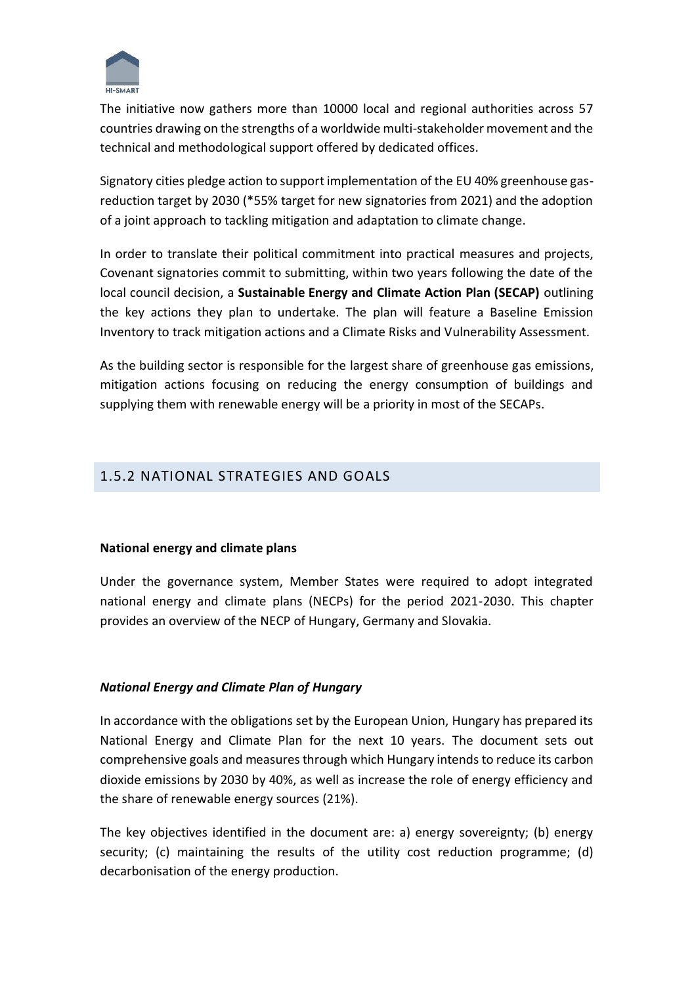

The initiative now gathers more than 10000 local and regional authorities across 57 countries drawing on the strengths of a worldwide multi-stakeholder movement and the technical and methodological support offered by dedicated offices.

Signatory cities pledge action to support implementation of the EU 40% greenhouse gasreduction target by 2030 (\*55% target for new signatories from 2021) and the adoption of a joint approach to tackling mitigation and adaptation to climate change.

In order to translate their political commitment into practical measures and projects, Covenant signatories commit to submitting, within two years following the date of the local council decision, a **Sustainable Energy and Climate Action Plan (SECAP)** outlining the key actions they plan to undertake. The plan will feature a Baseline Emission Inventory to track mitigation actions and a Climate Risks and Vulnerability Assessment.

As the building sector is responsible for the largest share of greenhouse gas emissions, mitigation actions focusing on reducing the energy consumption of buildings and supplying them with renewable energy will be a priority in most of the SECAPs.

# 1.5.2 NATIONAL STRATEGIES AND GOALS

#### **National energy and climate plans**

Under the governance system, Member States were required to adopt integrated national energy and climate plans (NECPs) for the period 2021-2030. This chapter provides an overview of the NECP of Hungary, Germany and Slovakia.

#### *National Energy and Climate Plan of Hungary*

In accordance with the obligations set by the European Union, Hungary has prepared its National Energy and Climate Plan for the next 10 years. The document sets out comprehensive goals and measures through which Hungary intends to reduce its carbon dioxide emissions by 2030 by 40%, as well as increase the role of energy efficiency and the share of renewable energy sources (21%).

The key objectives identified in the document are: a) energy sovereignty; (b) energy security; (c) maintaining the results of the utility cost reduction programme; (d) decarbonisation of the energy production.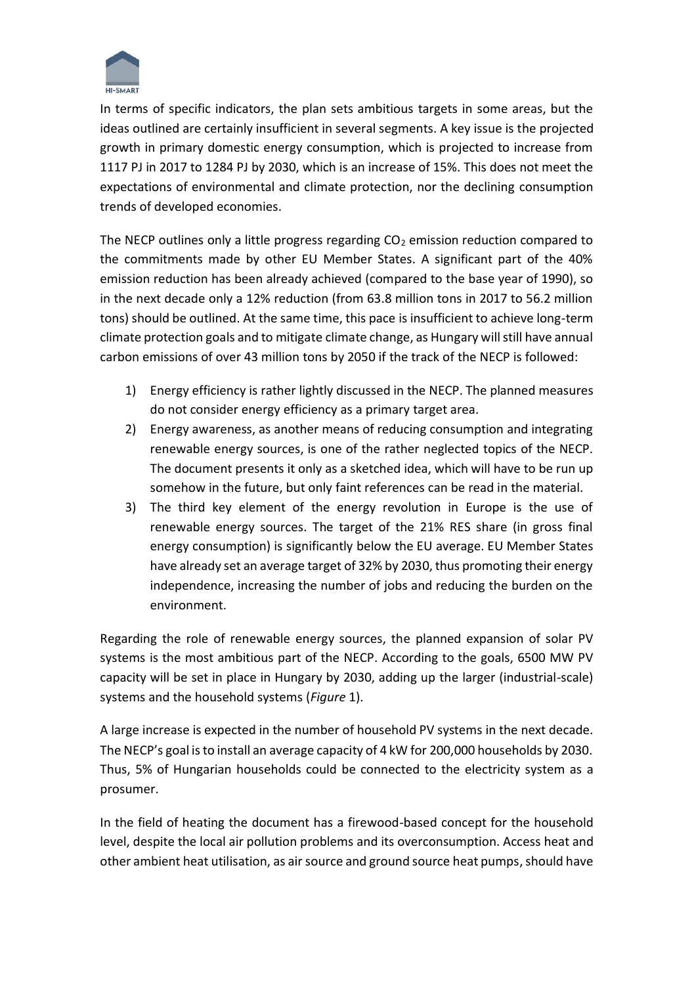

In terms of specific indicators, the plan sets ambitious targets in some areas, but the ideas outlined are certainly insufficient in several segments. A key issue is the projected growth in primary domestic energy consumption, which is projected to increase from 1117 PJ in 2017 to 1284 PJ by 2030, which is an increase of 15%. This does not meet the expectations of environmental and climate protection, nor the declining consumption trends of developed economies.

The NECP outlines only a little progress regarding  $CO<sub>2</sub>$  emission reduction compared to the commitments made by other EU Member States. A significant part of the 40% emission reduction has been already achieved (compared to the base year of 1990), so in the next decade only a 12% reduction (from 63.8 million tons in 2017 to 56.2 million tons) should be outlined. At the same time, this pace is insufficient to achieve long-term climate protection goals and to mitigate climate change, as Hungary will still have annual carbon emissions of over 43 million tons by 2050 if the track of the NECP is followed:

- 1) Energy efficiency is rather lightly discussed in the NECP. The planned measures do not consider energy efficiency as a primary target area.
- 2) Energy awareness, as another means of reducing consumption and integrating renewable energy sources, is one of the rather neglected topics of the NECP. The document presents it only as a sketched idea, which will have to be run up somehow in the future, but only faint references can be read in the material.
- 3) The third key element of the energy revolution in Europe is the use of renewable energy sources. The target of the 21% RES share (in gross final energy consumption) is significantly below the EU average. EU Member States have already set an average target of 32% by 2030, thus promoting their energy independence, increasing the number of jobs and reducing the burden on the environment.

Regarding the role of renewable energy sources, the planned expansion of solar PV systems is the most ambitious part of the NECP. According to the goals, 6500 MW PV capacity will be set in place in Hungary by 2030, adding up the larger (industrial-scale) systems and the household systems (*Figure* 1).

A large increase is expected in the number of household PV systems in the next decade. The NECP's goal is to install an average capacity of 4 kW for 200,000 households by 2030. Thus, 5% of Hungarian households could be connected to the electricity system as a prosumer.

In the field of heating the document has a firewood-based concept for the household level, despite the local air pollution problems and its overconsumption. Access heat and other ambient heat utilisation, as air source and ground source heat pumps, should have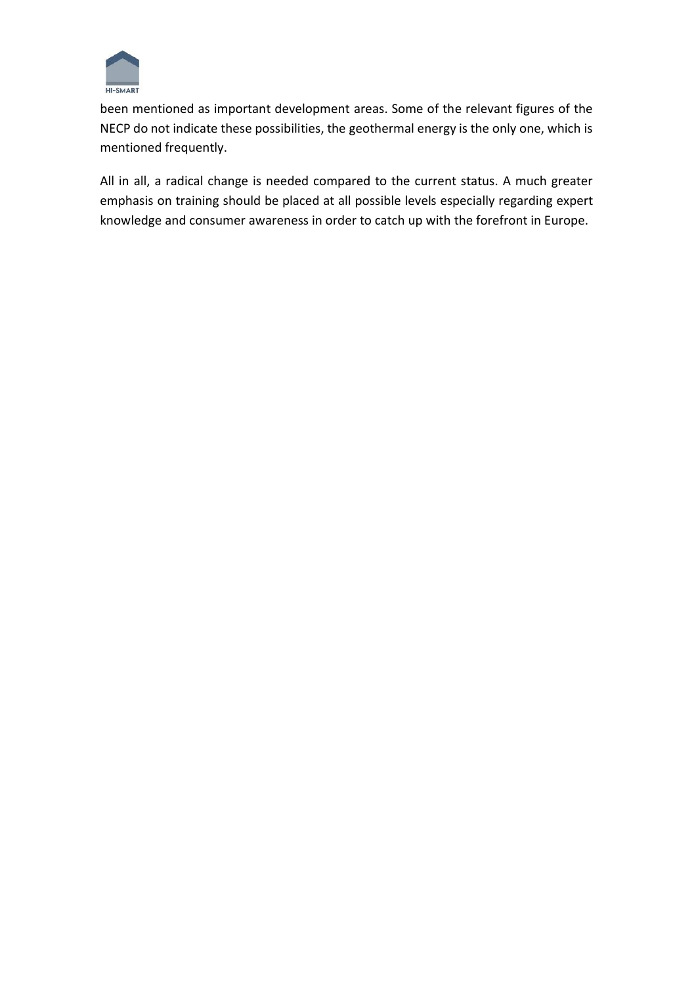

been mentioned as important development areas. Some of the relevant figures of the NECP do not indicate these possibilities, the geothermal energy is the only one, which is mentioned frequently.

All in all, a radical change is needed compared to the current status. A much greater emphasis on training should be placed at all possible levels especially regarding expert knowledge and consumer awareness in order to catch up with the forefront in Europe.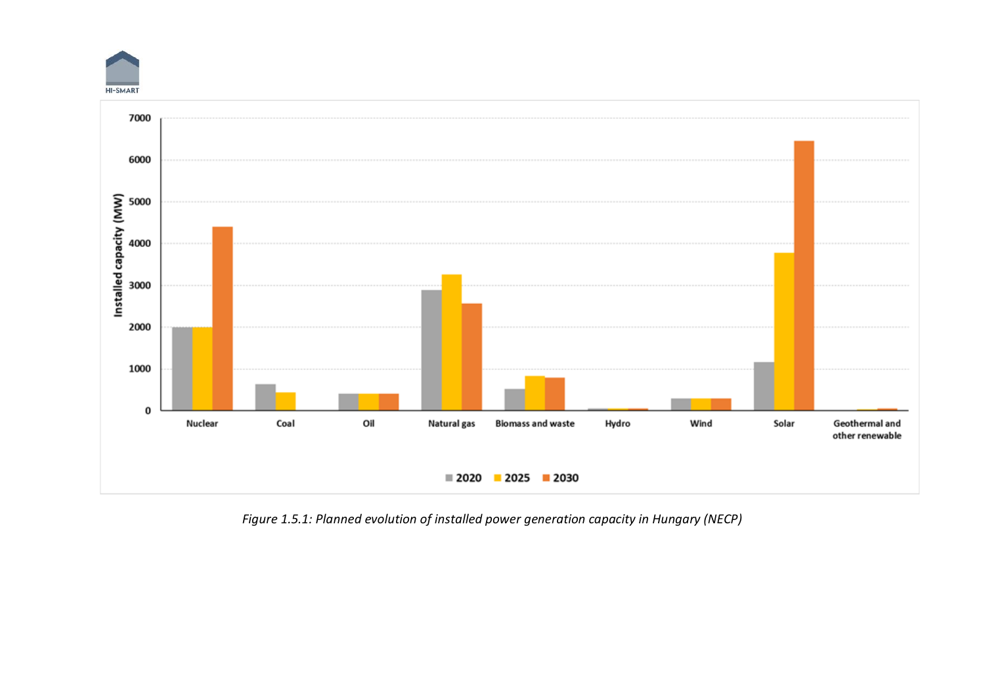



*Figure 1.5.1: Planned evolution of installed power generation capacity in Hungary (NECP)*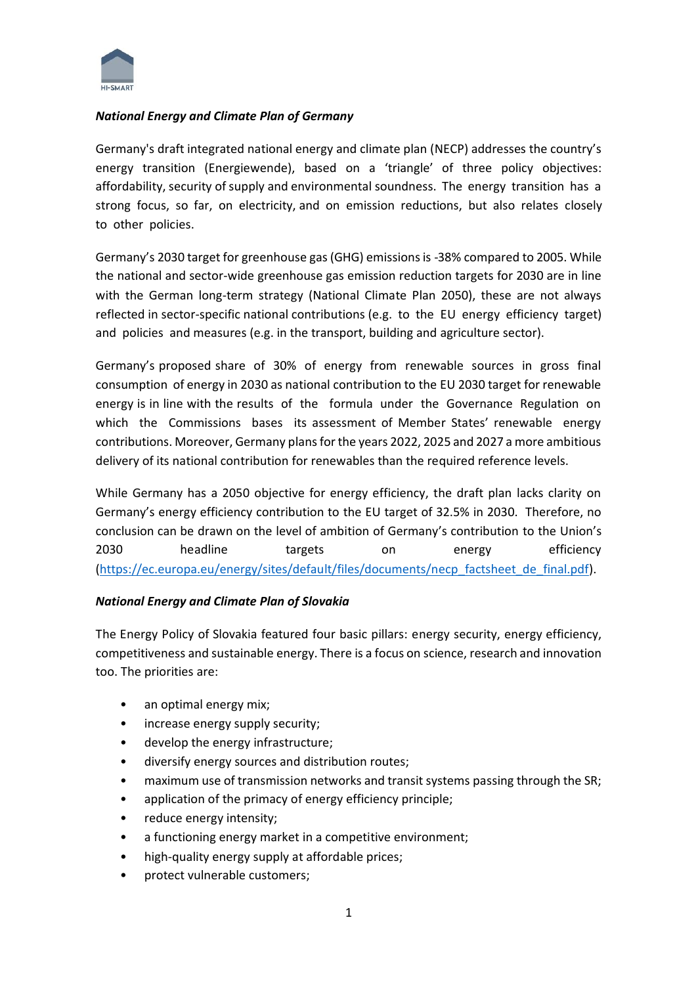

#### *National Energy and Climate Plan of Germany*

Germany's draft integrated national energy and climate plan (NECP) addresses the country's energy transition (Energiewende), based on a 'triangle' of three policy objectives: affordability, security of supply and environmental soundness. The energy transition has a strong focus, so far, on electricity, and on emission reductions, but also relates closely to other policies.

Germany's 2030 target for greenhouse gas (GHG) emissions is -38% compared to 2005. While the national and sector-wide greenhouse gas emission reduction targets for 2030 are in line with the German long-term strategy (National Climate Plan 2050), these are not always reflected in sector-specific national contributions (e.g. to the EU energy efficiency target) and policies and measures (e.g. in the transport, building and agriculture sector).

Germany's proposed share of 30% of energy from renewable sources in gross final consumption of energy in 2030 as national contribution to the EU 2030 target for renewable energy is in line with the results of the formula under the Governance Regulation on which the Commissions bases its assessment of Member States' renewable energy contributions. Moreover, Germany plans for the years 2022, 2025 and 2027 a more ambitious delivery of its national contribution for renewables than the required reference levels.

While Germany has a 2050 objective for energy efficiency, the draft plan lacks clarity on Germany's energy efficiency contribution to the EU target of 32.5% in 2030. Therefore, no conclusion can be drawn on the level of ambition of Germany's contribution to the Union's 2030 headline targets on energy efficiency [\(https://ec.europa.eu/energy/sites/default/files/documents/necp\\_factsheet\\_de\\_final.pdf\)](https://ec.europa.eu/energy/sites/default/files/documents/necp_factsheet_de_final.pdf).

#### *National Energy and Climate Plan of Slovakia*

The Energy Policy of Slovakia featured four basic pillars: energy security, energy efficiency, competitiveness and sustainable energy. There is a focus on science, research and innovation too. The priorities are:

- an optimal energy mix;
- increase energy supply security;
- develop the energy infrastructure;
- diversify energy sources and distribution routes;
- maximum use of transmission networks and transit systems passing through the SR;
- application of the primacy of energy efficiency principle;
- reduce energy intensity;
- a functioning energy market in a competitive environment;
- high-quality energy supply at affordable prices;
- protect vulnerable customers;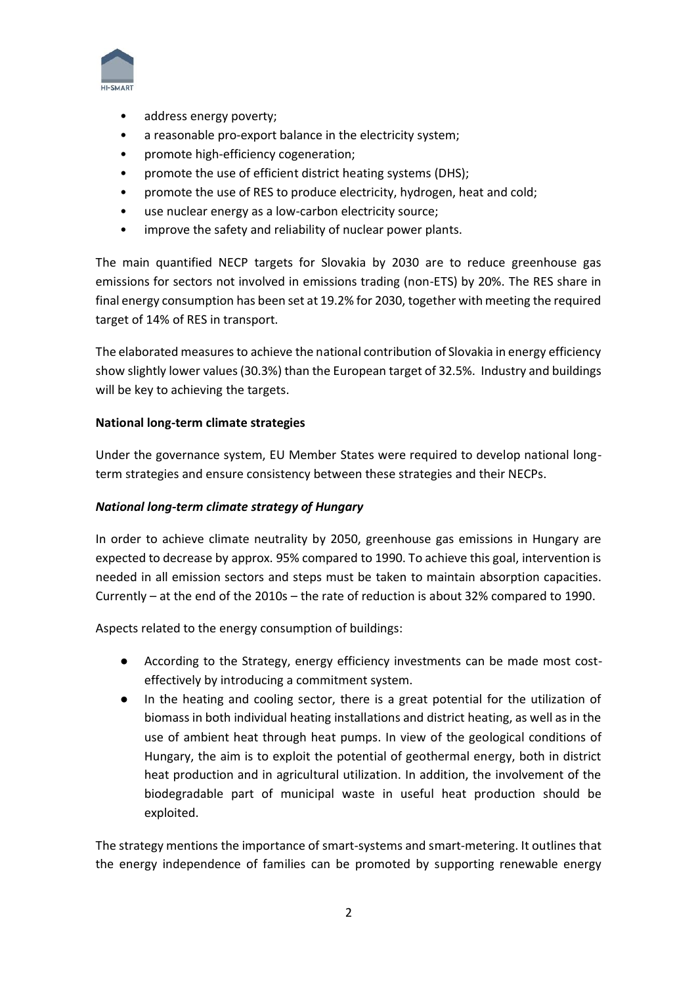

- address energy poverty;
- a reasonable pro-export balance in the electricity system;
- promote high-efficiency cogeneration;
- promote the use of efficient district heating systems (DHS);
- promote the use of RES to produce electricity, hydrogen, heat and cold;
- use nuclear energy as a low-carbon electricity source;
- improve the safety and reliability of nuclear power plants.

The main quantified NECP targets for Slovakia by 2030 are to reduce greenhouse gas emissions for sectors not involved in emissions trading (non-ETS) by 20%. The RES share in final energy consumption has been set at 19.2% for 2030, together with meeting the required target of 14% of RES in transport.

The elaborated measures to achieve the national contribution of Slovakia in energy efficiency show slightly lower values (30.3%) than the European target of 32.5%. Industry and buildings will be key to achieving the targets.

#### **National long-term climate strategies**

Under the governance system, EU Member States were required to develop national longterm strategies and ensure consistency between these strategies and their NECPs.

#### *National long-term climate strategy of Hungary*

In order to achieve climate neutrality by 2050, greenhouse gas emissions in Hungary are expected to decrease by approx. 95% compared to 1990. To achieve this goal, intervention is needed in all emission sectors and steps must be taken to maintain absorption capacities. Currently – at the end of the 2010s – the rate of reduction is about 32% compared to 1990.

Aspects related to the energy consumption of buildings:

- According to the Strategy, energy efficiency investments can be made most costeffectively by introducing a commitment system.
- In the heating and cooling sector, there is a great potential for the utilization of biomass in both individual heating installations and district heating, as well as in the use of ambient heat through heat pumps. In view of the geological conditions of Hungary, the aim is to exploit the potential of geothermal energy, both in district heat production and in agricultural utilization. In addition, the involvement of the biodegradable part of municipal waste in useful heat production should be exploited.

The strategy mentions the importance of smart-systems and smart-metering. It outlines that the energy independence of families can be promoted by supporting renewable energy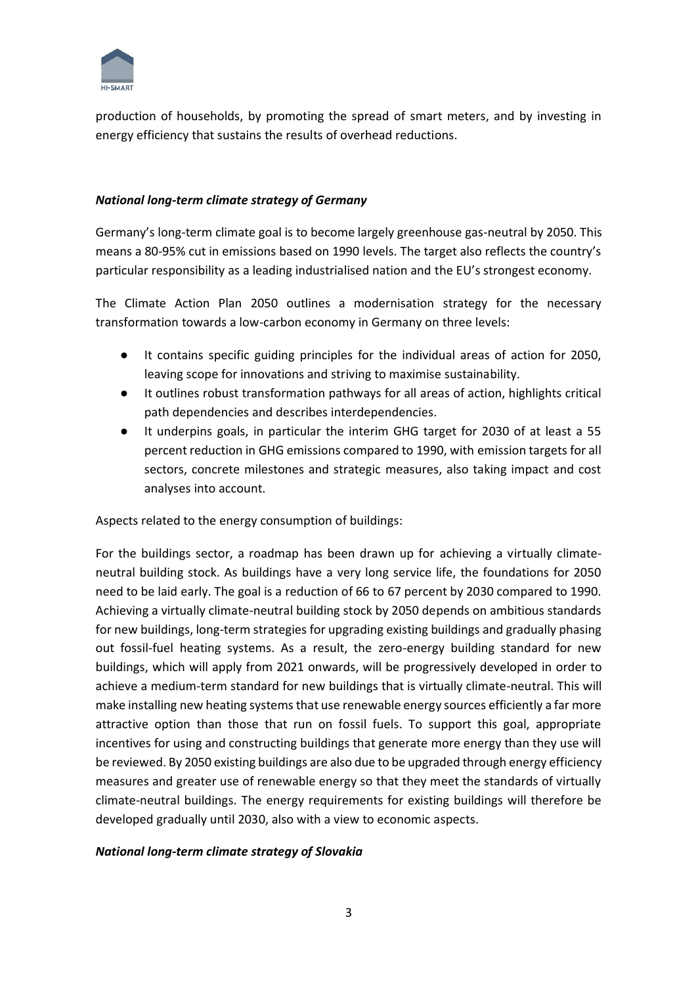

production of households, by promoting the spread of smart meters, and by investing in energy efficiency that sustains the results of overhead reductions.

#### *National long-term climate strategy of Germany*

Germany's long-term climate goal is to become largely greenhouse gas-neutral by 2050. This means a 80-95% cut in emissions based on 1990 levels. The target also reflects the country's particular responsibility as a leading industrialised nation and the EU's strongest economy.

The Climate Action Plan 2050 outlines a modernisation strategy for the necessary transformation towards a low-carbon economy in Germany on three levels:

- It contains specific guiding principles for the individual areas of action for 2050, leaving scope for innovations and striving to maximise sustainability.
- It outlines robust transformation pathways for all areas of action, highlights critical path dependencies and describes interdependencies.
- It underpins goals, in particular the interim GHG target for 2030 of at least a 55 percent reduction in GHG emissions compared to 1990, with emission targets for all sectors, concrete milestones and strategic measures, also taking impact and cost analyses into account.

Aspects related to the energy consumption of buildings:

For the buildings sector, a roadmap has been drawn up for achieving a virtually climateneutral building stock. As buildings have a very long service life, the foundations for 2050 need to be laid early. The goal is a reduction of 66 to 67 percent by 2030 compared to 1990. Achieving a virtually climate-neutral building stock by 2050 depends on ambitious standards for new buildings, long-term strategies for upgrading existing buildings and gradually phasing out fossil-fuel heating systems. As a result, the zero-energy building standard for new buildings, which will apply from 2021 onwards, will be progressively developed in order to achieve a medium-term standard for new buildings that is virtually climate-neutral. This will make installing new heating systems that use renewable energy sources efficiently a far more attractive option than those that run on fossil fuels. To support this goal, appropriate incentives for using and constructing buildings that generate more energy than they use will be reviewed. By 2050 existing buildings are also due to be upgraded through energy efficiency measures and greater use of renewable energy so that they meet the standards of virtually climate-neutral buildings. The energy requirements for existing buildings will therefore be developed gradually until 2030, also with a view to economic aspects.

#### *National long-term climate strategy of Slovakia*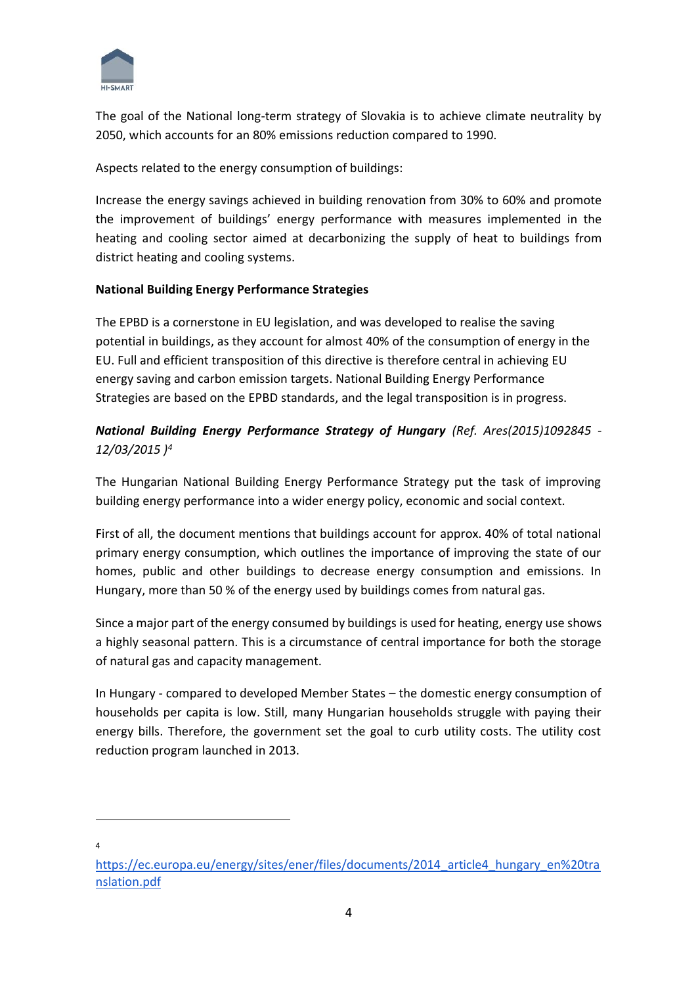

The goal of the National long-term strategy of Slovakia is to achieve climate neutrality by 2050, which accounts for an 80% emissions reduction compared to 1990.

Aspects related to the energy consumption of buildings:

Increase the energy savings achieved in building renovation from 30% to 60% and promote the improvement of buildings' energy performance with measures implemented in the heating and cooling sector aimed at decarbonizing the supply of heat to buildings from district heating and cooling systems.

### **National Building Energy Performance Strategies**

The EPBD is a cornerstone in EU legislation, and was developed to realise the saving potential in buildings, as they account for almost 40% of the consumption of energy in the EU. Full and efficient transposition of this directive is therefore central in achieving EU energy saving and carbon emission targets. National Building Energy Performance Strategies are based on the EPBD standards, and the legal transposition is in progress.

# *National Building Energy Performance Strategy of Hungary (Ref. Ares(2015)1092845 - 12/03/2015 )<sup>4</sup>*

The Hungarian National Building Energy Performance Strategy put the task of improving building energy performance into a wider energy policy, economic and social context.

First of all, the document mentions that buildings account for approx. 40% of total national primary energy consumption, which outlines the importance of improving the state of our homes, public and other buildings to decrease energy consumption and emissions. In Hungary, more than 50 % of the energy used by buildings comes from natural gas.

Since a major part of the energy consumed by buildings is used for heating, energy use shows a highly seasonal pattern. This is a circumstance of central importance for both the storage of natural gas and capacity management.

In Hungary - compared to developed Member States – the domestic energy consumption of households per capita is low. Still, many Hungarian households struggle with paying their energy bills. Therefore, the government set the goal to curb utility costs. The utility cost reduction program launched in 2013.

4

[https://ec.europa.eu/energy/sites/ener/files/documents/2014\\_article4\\_hungary\\_en%20tra](https://ec.europa.eu/energy/sites/ener/files/documents/2014_article4_hungary_en%20translation.pdf) [nslation.pdf](https://ec.europa.eu/energy/sites/ener/files/documents/2014_article4_hungary_en%20translation.pdf)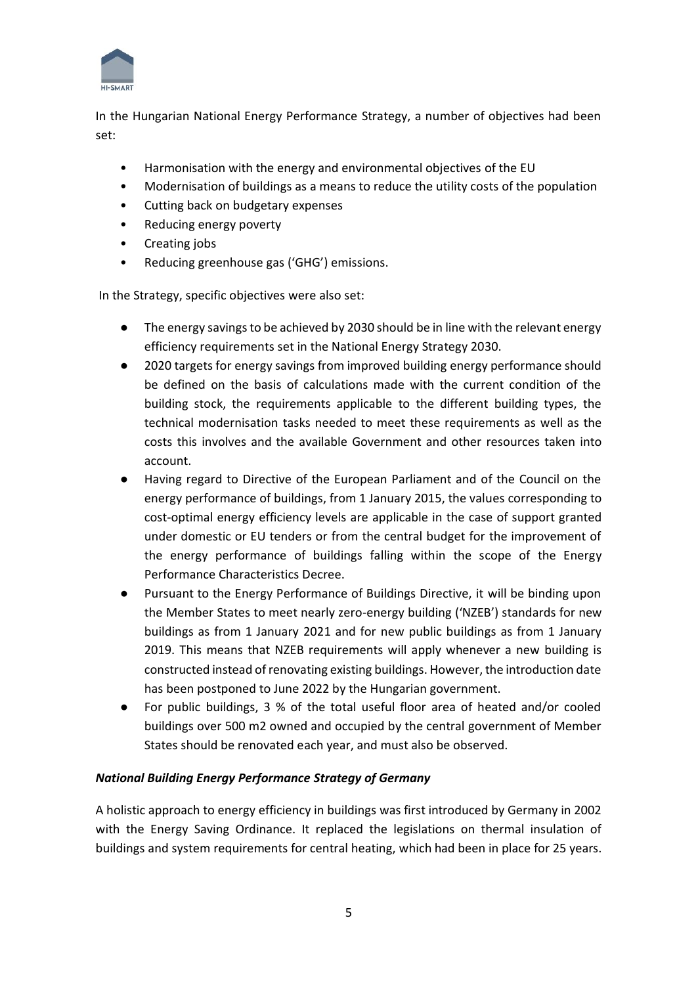

In the Hungarian National Energy Performance Strategy, a number of objectives had been set:

- Harmonisation with the energy and environmental objectives of the EU
- Modernisation of buildings as a means to reduce the utility costs of the population
- Cutting back on budgetary expenses
- Reducing energy poverty
- Creating jobs
- Reducing greenhouse gas ('GHG') emissions.

In the Strategy, specific objectives were also set:

- The energy savings to be achieved by 2030 should be in line with the relevant energy efficiency requirements set in the National Energy Strategy 2030.
- 2020 targets for energy savings from improved building energy performance should be defined on the basis of calculations made with the current condition of the building stock, the requirements applicable to the different building types, the technical modernisation tasks needed to meet these requirements as well as the costs this involves and the available Government and other resources taken into account.
- Having regard to Directive of the European Parliament and of the Council on the energy performance of buildings, from 1 January 2015, the values corresponding to cost-optimal energy efficiency levels are applicable in the case of support granted under domestic or EU tenders or from the central budget for the improvement of the energy performance of buildings falling within the scope of the Energy Performance Characteristics Decree.
- Pursuant to the Energy Performance of Buildings Directive, it will be binding upon the Member States to meet nearly zero-energy building ('NZEB') standards for new buildings as from 1 January 2021 and for new public buildings as from 1 January 2019. This means that NZEB requirements will apply whenever a new building is constructed instead of renovating existing buildings. However, the introduction date has been postponed to June 2022 by the Hungarian government.
- For public buildings, 3 % of the total useful floor area of heated and/or cooled buildings over 500 m2 owned and occupied by the central government of Member States should be renovated each year, and must also be observed.

#### *National Building Energy Performance Strategy of Germany*

A holistic approach to energy efficiency in buildings was first introduced by Germany in 2002 with the Energy Saving Ordinance. It replaced the legislations on thermal insulation of buildings and system requirements for central heating, which had been in place for 25 years.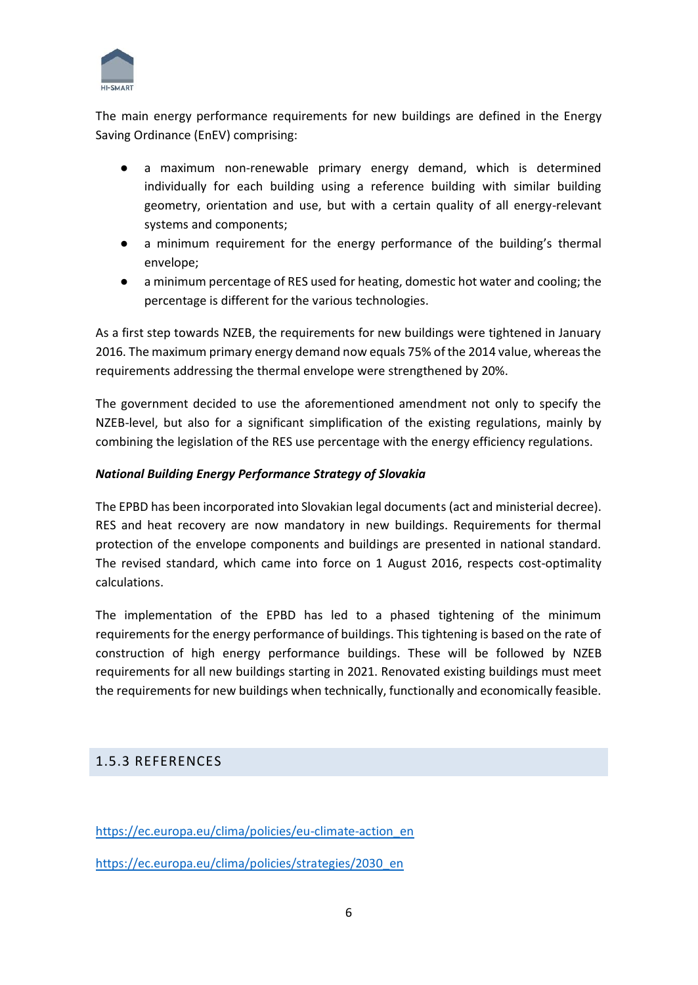

The main energy performance requirements for new buildings are defined in the Energy Saving Ordinance (EnEV) comprising:

- a maximum non-renewable primary energy demand, which is determined individually for each building using a reference building with similar building geometry, orientation and use, but with a certain quality of all energy-relevant systems and components;
- a minimum requirement for the energy performance of the building's thermal envelope;
- a minimum percentage of RES used for heating, domestic hot water and cooling; the percentage is different for the various technologies.

As a first step towards NZEB, the requirements for new buildings were tightened in January 2016. The maximum primary energy demand now equals 75% of the 2014 value, whereas the requirements addressing the thermal envelope were strengthened by 20%.

The government decided to use the aforementioned amendment not only to specify the NZEB-level, but also for a significant simplification of the existing regulations, mainly by combining the legislation of the RES use percentage with the energy efficiency regulations.

# *National Building Energy Performance Strategy of Slovakia*

The EPBD has been incorporated into Slovakian legal documents (act and ministerial decree). RES and heat recovery are now mandatory in new buildings. Requirements for thermal protection of the envelope components and buildings are presented in national standard. The revised standard, which came into force on 1 August 2016, respects cost-optimality calculations.

The implementation of the EPBD has led to a phased tightening of the minimum requirements for the energy performance of buildings. This tightening is based on the rate of construction of high energy performance buildings. These will be followed by NZEB requirements for all new buildings starting in 2021. Renovated existing buildings must meet the requirements for new buildings when technically, functionally and economically feasible.

# 1.5.3 REFERENCES

[https://ec.europa.eu/clima/policies/eu-climate-action\\_en](https://ec.europa.eu/clima/policies/eu-climate-action_en)

[https://ec.europa.eu/clima/policies/strategies/2030\\_en](https://ec.europa.eu/clima/policies/strategies/2030_en)